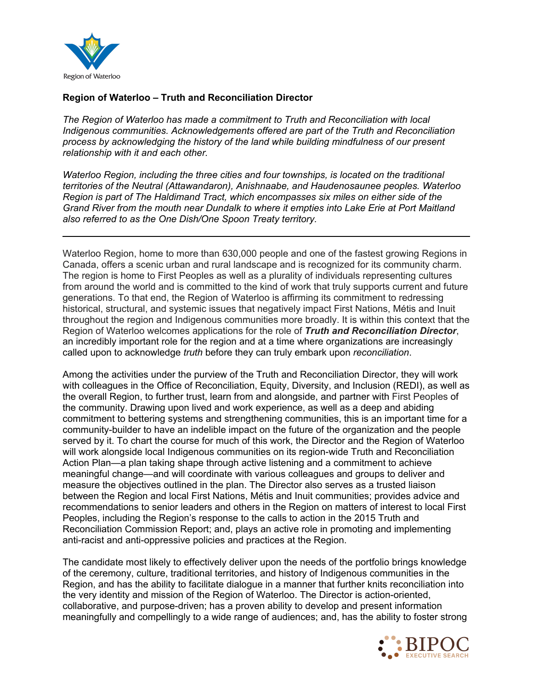

## **Region of Waterloo – Truth and Reconciliation Director**

*The Region of Waterloo has made a commitment to Truth and Reconciliation with local Indigenous communities. Acknowledgements offered are part of the Truth and Reconciliation process by acknowledging the history of the land while building mindfulness of our present relationship with it and each other.* 

*Waterloo Region, including the three cities and four townships, is located on the traditional territories of the Neutral (Attawandaron), Anishnaabe, and Haudenosaunee peoples. Waterloo Region is part of The Haldimand Tract, which encompasses six miles on either side of the Grand River from the mouth near Dundalk to where it empties into Lake Erie at Port Maitland also referred to as the One Dish/One Spoon Treaty territory.*

Waterloo Region, home to more than 630,000 people and one of the fastest growing Regions in Canada, offers a scenic urban and rural landscape and is recognized for its community charm. The region is home to First Peoples as well as a plurality of individuals representing cultures from around the world and is committed to the kind of work that truly supports current and future generations. To that end, the Region of Waterloo is affirming its commitment to redressing historical, structural, and systemic issues that negatively impact First Nations, Métis and Inuit throughout the region and Indigenous communities more broadly. It is within this context that the Region of Waterloo welcomes applications for the role of *Truth and Reconciliation Director*, an incredibly important role for the region and at a time where organizations are increasingly called upon to acknowledge *truth* before they can truly embark upon *reconciliation*.

Among the activities under the purview of the Truth and Reconciliation Director, they will work with colleagues in the Office of Reconciliation, Equity, Diversity, and Inclusion (REDI), as well as the overall Region, to further trust, learn from and alongside, and partner with First Peoples of the community. Drawing upon lived and work experience, as well as a deep and abiding commitment to bettering systems and strengthening communities, this is an important time for a community-builder to have an indelible impact on the future of the organization and the people served by it. To chart the course for much of this work, the Director and the Region of Waterloo will work alongside local Indigenous communities on its region-wide Truth and Reconciliation Action Plan—a plan taking shape through active listening and a commitment to achieve meaningful change—and will coordinate with various colleagues and groups to deliver and measure the objectives outlined in the plan. The Director also serves as a trusted liaison between the Region and local First Nations, Métis and Inuit communities; provides advice and recommendations to senior leaders and others in the Region on matters of interest to local First Peoples, including the Region's response to the calls to action in the 2015 Truth and Reconciliation Commission Report; and, plays an active role in promoting and implementing anti-racist and anti-oppressive policies and practices at the Region.

The candidate most likely to effectively deliver upon the needs of the portfolio brings knowledge of the ceremony, culture, traditional territories, and history of Indigenous communities in the Region, and has the ability to facilitate dialogue in a manner that further knits reconciliation into the very identity and mission of the Region of Waterloo. The Director is action-oriented, collaborative, and purpose-driven; has a proven ability to develop and present information meaningfully and compellingly to a wide range of audiences; and, has the ability to foster strong